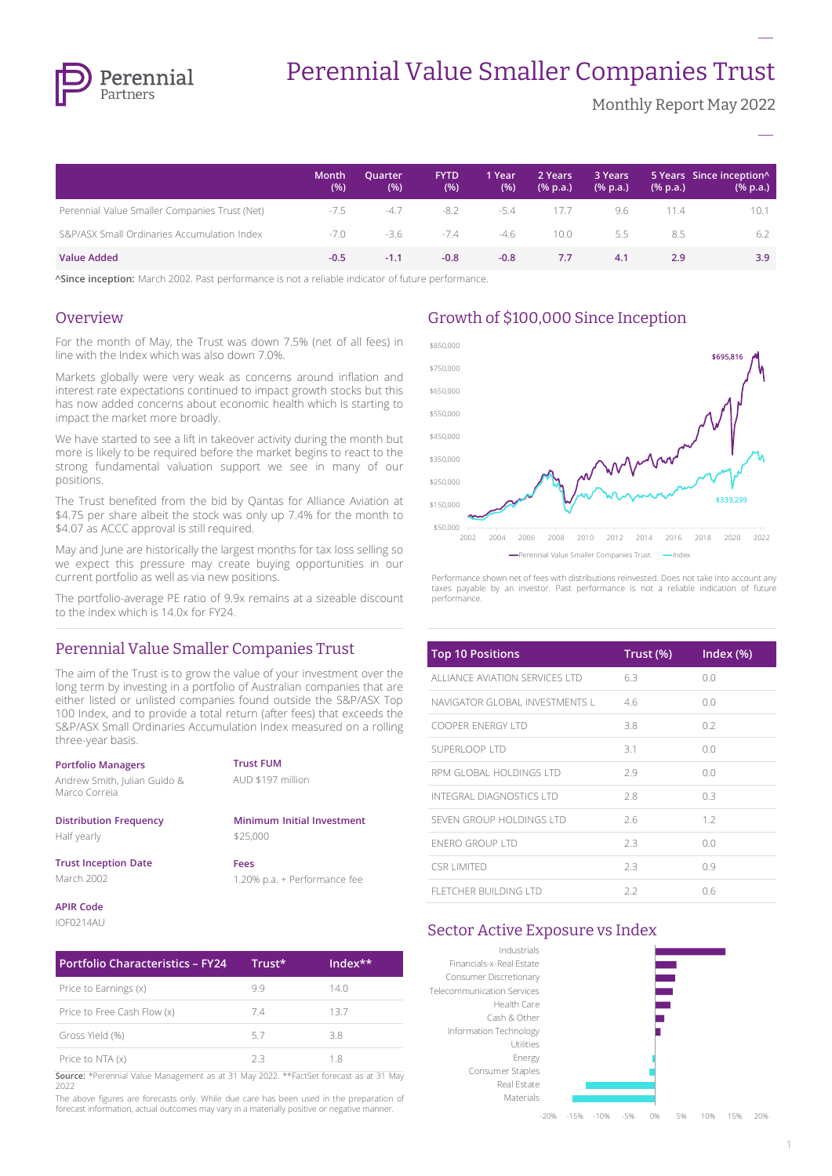

# Perennial Value Smaller Companies Trust

Monthly Report May 2022

**–**

**–**

|                                               | Month<br>(%) | Quarter<br>(% ) | <b>FYTD</b><br>(%) | 1 Year<br>(% ) | 2 Years<br>$(% \mathbf{a})$ (% p.a.) | 3 Years<br>$(% \mathbf{a})$ (% p.a.) | $(% \mathbf{a})$ (% p.a.) | 5 Years Since inception <sup>^</sup><br>(% p.a.) |
|-----------------------------------------------|--------------|-----------------|--------------------|----------------|--------------------------------------|--------------------------------------|---------------------------|--------------------------------------------------|
| Perennial Value Smaller Companies Trust (Net) | $-7.5$       | -4.7            | -8.2               | -5.4           | 17.7                                 | 9.6                                  | 11.4                      | 10.1                                             |
| S&P/ASX Small Ordinaries Accumulation Index   | -7.0         | -3.6            | $-7.4$             | -4.6           | 10.0                                 | 5.5                                  | 8.5                       | 6.2                                              |
| <b>Value Added</b>                            | $-0.5$       | $-1.1$          | $-0.8$             | $-0.8$         | 7.7                                  | 4.1                                  | 2.9                       | 3.9                                              |

**^Since inception:** March 2002. Past performance is not a reliable indicator of future performance.

#### **Overview**

For the month of May, the Trust was down 7.5% (net of all fees) in line with the Index which was also down 7.0%.

Markets globally were very weak as concerns around inflation and interest rate expectations continued to impact growth stocks but this has now added concerns about economic health which is starting to impact the market more broadly.

We have started to see a lift in takeover activity during the month but more is likely to be required before the market begins to react to the strong fundamental valuation support we see in many of our positions.

The Trust benefited from the bid by Qantas for Alliance Aviation at \$4.75 per share albeit the stock was only up 7.4% for the month to \$4.07 as ACCC approval is still required.

May and June are historically the largest months for tax loss selling so we expect this pressure may create buying opportunities in our current portfolio as well as via new positions.

The portfolio-average PE ratio of 9.9x remains at a sizeable discount to the index which is 14.0x for FY24.

## Perennial Value Smaller Companies Trust

The aim of the Trust is to grow the value of your investment over the long term by investing in a portfolio of Australian companies that are either listed or unlisted companies found outside the S&P/ASX Top 100 Index, and to provide a total return (after fees) that exceeds the S&P/ASX Small Ordinaries Accumulation Index measured on a rolling three-year basis.

| <b>Portfolio Managers</b><br>Andrew Smith, Julian Guido &<br>Marco Correja | <b>Trust FUM</b><br>AUD \$197 million |
|----------------------------------------------------------------------------|---------------------------------------|
| <b>Distribution Frequency</b>                                              | Minimum Initial Investment            |
| Half yearly                                                                | \$25,000                              |
| <b>Trust Inception Date</b>                                                | Fees                                  |
| March 2002                                                                 | 1.20% p.a. + Performance fee          |
| <b>APIR Code</b>                                                           |                                       |

#### IOF0214AU

| <b>Portfolio Characteristics - FY24</b>                                                | Trust* | $Index**$ |
|----------------------------------------------------------------------------------------|--------|-----------|
| Price to Earnings (x)                                                                  | 99     | 14.0      |
| Price to Free Cash Flow (x)                                                            | 7.4    | 13.7      |
| Gross Yield (%)                                                                        | 57     | 3.8       |
| Price to NTA (x)                                                                       | フ3     | 18        |
| Source: *Perennial Value Management as at 31 May 2022. **FactSet forecast as at 31 May |        |           |

2022

The above figures are forecasts only. While due care has been used in the preparation of forecast information, actual outcomes may vary in a materially positive or negative manner.

## Growth of \$100,000 Since Inception



Performance shown net of fees with distributions reinvested. Does not take into account any taxes payable by an investor. Past performance is not a reliable indication of future performance.

| <b>Top 10 Positions</b>         | Trust (%) | Index (%) |
|---------------------------------|-----------|-----------|
| ALLIANCE AVIATION SERVICES LTD  | 6.3       | 0.0       |
| NAVIGATOR GLOBAL INVESTMENTS L  | 4.6       | 0.0       |
| COOPER ENERGY LTD               | 3.8       | 0.2       |
| SUPERLOOP LTD                   | 3.1       | 0.0       |
| RPM GLOBAL HOLDINGS LTD         | 2.9       | 0.0       |
| <b>INTEGRAL DIAGNOSTICS LTD</b> | 2.8       | 0.3       |
| SEVEN GROUP HOLDINGS LTD        | 2.6       | 12        |
| <b>FNFRO GROUP LTD</b>          | 2.3       | 0.0       |
| CSR I IMITED                    | 2.3       | 0.9       |
| <b>FLETCHER BUILDING LTD</b>    | 2.2       | 0.6       |

### Sector Active Exposure vs Index



-20% -15% -10% -5% 0% 5% 10% 15% 20%